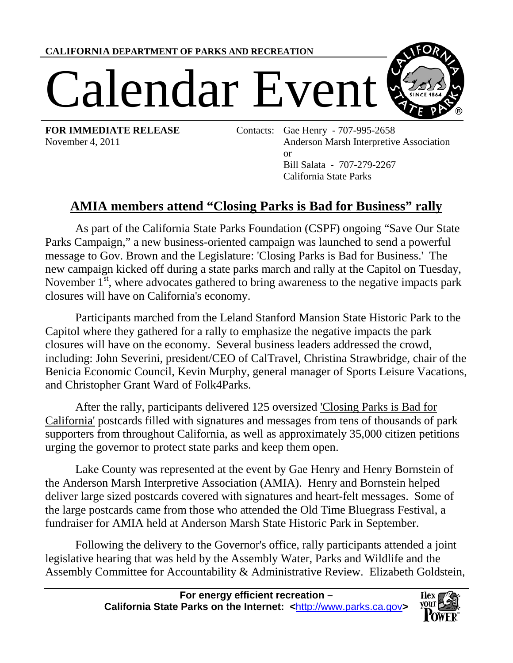**CALIFORNIA DEPARTMENT OF PARKS AND RECREATION**

## Calendar Event



**FOR IMMEDIATE RELEASE** Contacts: Gae Henry - 707-995-2658 November 4, 2011 Anderson Marsh Interpretive Association or Bill Salata - 707-279-2267 California State Parks

## **AMIA members attend "Closing Parks is Bad for Business" rally**

As part of the California State Parks Foundation (CSPF) ongoing "Save Our State Parks Campaign," a new business-oriented campaign was launched to send a powerful message to Gov. Brown and the Legislature: 'Closing Parks is Bad for Business.' The new campaign kicked off during a state parks march and rally at the Capitol on Tuesday, November  $1<sup>st</sup>$ , where advocates gathered to bring awareness to the negative impacts park closures will have on California's economy.

Participants marched from the Leland Stanford Mansion State Historic Park to the Capitol where they gathered for a rally to emphasize the negative impacts the park closures will have on the economy. Several business leaders addressed the crowd, including: John Severini, president/CEO of CalTravel, Christina Strawbridge, chair of the Benicia Economic Council, Kevin Murphy, general manager of Sports Leisure Vacations, and Christopher Grant Ward of Folk4Parks.

After the rally, participants delivered 125 oversized ['Closing Parks is Bad for](http://www.savestateparks.org/badforcalifornia.html)  [California'](http://www.savestateparks.org/badforcalifornia.html) postcards filled with signatures and messages from tens of thousands of park supporters from throughout California, as well as approximately 35,000 citizen petitions urging the governor to protect state parks and keep them open.

Lake County was represented at the event by Gae Henry and Henry Bornstein of the Anderson Marsh Interpretive Association (AMIA). Henry and Bornstein helped deliver large sized postcards covered with signatures and heart-felt messages. Some of the large postcards came from those who attended the Old Time Bluegrass Festival, a fundraiser for AMIA held at Anderson Marsh State Historic Park in September.

Following the delivery to the Governor's office, rally participants attended a joint legislative hearing that was held by the Assembly Water, Parks and Wildlife and the Assembly Committee for Accountability & Administrative Review. Elizabeth Goldstein,